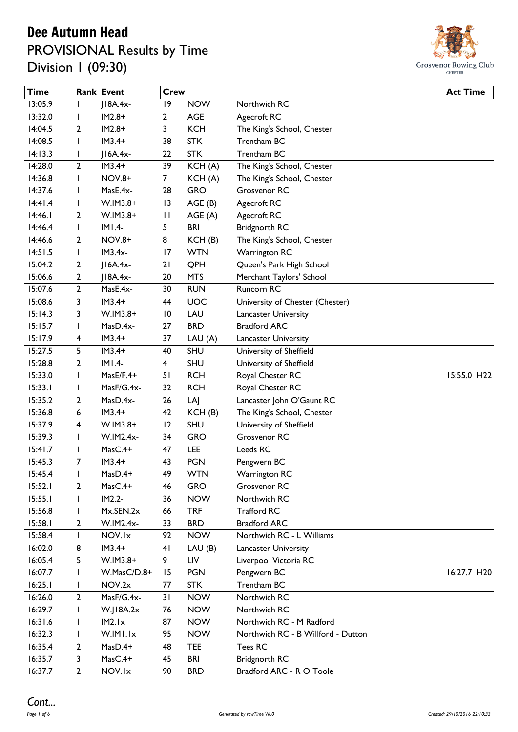#### Dee Autumn Head

PROVISIONAL Results by Time Division 1 (09:30)



| <b>Time</b> |                | Rank Event    | <b>Crew</b>     |            |                                    | <b>Act Time</b> |
|-------------|----------------|---------------|-----------------|------------|------------------------------------|-----------------|
| 13:05.9     | $\mathbf{I}$   | $J18A.4x-$    | 9               | <b>NOW</b> | Northwich RC                       |                 |
| 13:32.0     | I              | $IM2.8+$      | 2               | <b>AGE</b> | Agecroft RC                        |                 |
| 14:04.5     | 2              | $IM2.8+$      | 3               | <b>KCH</b> | The King's School, Chester         |                 |
| 14:08.5     | <b>I</b>       | $IM3.4+$      | 38              | <b>STK</b> | Trentham BC                        |                 |
| 14:13.3     | J.             | $ IAA.4x-$    | 22              | <b>STK</b> | Trentham BC                        |                 |
| 14:28.0     | $\overline{2}$ | $IM3.4+$      | 39              | KCH(A)     | The King's School, Chester         |                 |
| 14:36.8     | $\mathsf{l}$   | <b>NOV.8+</b> | 7               | KCH(A)     | The King's School, Chester         |                 |
| 14:37.6     | $\mathsf{l}$   | MasE.4x-      | 28              | <b>GRO</b> | Grosvenor RC                       |                 |
| 14:41.4     | $\mathbf{I}$   | W.IM3.8+      | 13              | AGE(B)     | Agecroft RC                        |                 |
| 14:46.1     | 2              | $W.IM3.8+$    | $\mathbf{H}$    | AGE(A)     | Agecroft RC                        |                 |
| 14:46.4     | $\mathbf{I}$   | $IMI.4-$      | 5               | <b>BRI</b> | <b>Bridgnorth RC</b>               |                 |
| 14:46.6     | 2              | <b>NOV.8+</b> | 8               | KCH(B)     | The King's School, Chester         |                 |
| 14:51.5     | $\mathbf{I}$   | $IM3.4x-$     | $\overline{17}$ | <b>WTN</b> | <b>Warrington RC</b>               |                 |
| 15:04.2     | 2              | $ IAA.4x-$    | 21              | QPH        | Queen's Park High School           |                 |
| 15:06.6     | 2              | $JIBA.4x-$    | 20              | <b>MTS</b> | Merchant Taylors' School           |                 |
| 15:07.6     | $\mathbf{2}$   | MasE.4x-      | 30              | <b>RUN</b> | Runcorn RC                         |                 |
| 15:08.6     | 3              | $IM3.4+$      | 44              | UOC        | University of Chester (Chester)    |                 |
| 15:14.3     | 3              | W.IM3.8+      | $\overline{10}$ | LAU        | <b>Lancaster University</b>        |                 |
| 15:15.7     | $\mathbf{I}$   | MasD.4x-      | 27              | <b>BRD</b> | <b>Bradford ARC</b>                |                 |
| 15:17.9     | 4              | $IM3.4+$      | 37              | LAU(A)     | Lancaster University               |                 |
| 15:27.5     | 5              | $IM3.4+$      | 40              | <b>SHU</b> | University of Sheffield            |                 |
| 15:28.8     | 2              | $IMI.4-$      | 4               | <b>SHU</b> | University of Sheffield            |                 |
| 15:33.0     | $\mathbf{I}$   | MasE/F.4+     | 51              | <b>RCH</b> | Royal Chester RC                   | 15:55.0 H22     |
| 15:33.1     | $\mathsf{l}$   | MasF/G.4x-    | 32              | <b>RCH</b> | Royal Chester RC                   |                 |
| 15:35.2     | 2              | MasD.4x-      | 26              | LAJ        | Lancaster John O'Gaunt RC          |                 |
| 15:36.8     | 6              | $IM3.4+$      | 42              | KCH(B)     | The King's School, Chester         |                 |
| 15:37.9     | 4              | $W.IM3.8+$    | 12              | <b>SHU</b> | University of Sheffield            |                 |
| 15:39.3     | $\mathbf{I}$   | W.IM2.4x-     | 34              | <b>GRO</b> | Grosvenor RC                       |                 |
| 15:41.7     | $\mathbf{I}$   | $MasC.4+$     | 47              | <b>LEE</b> | Leeds RC                           |                 |
| 15:45.3     | 7              | $IM3.4+$      | 43              | <b>PGN</b> | Pengwern BC                        |                 |
| 15:45.4     | $\mathsf{l}$   | $MasD.4+$     | 49              | <b>WTN</b> | Warrington RC                      |                 |
| 15:52.1     | 2              | $MasC.4+$     | 46              | <b>GRO</b> | Grosvenor RC                       |                 |
| 15:55.1     | L              | IM2.2-        | 36              | <b>NOW</b> | Northwich RC                       |                 |
| 15:56.8     | $\mathbf{I}$   | Mx.SEN.2x     | 66              | <b>TRF</b> | <b>Trafford RC</b>                 |                 |
| 15:58.1     | 2              | W.IM2.4x-     | 33              | <b>BRD</b> | <b>Bradford ARC</b>                |                 |
| 15:58.4     | $\mathbf{I}$   | NOV.Ix        | 92              | <b>NOW</b> | Northwich RC - L Williams          |                 |
| 16:02.0     | 8              | $IM3.4+$      | 41              | LAU(B)     | Lancaster University               |                 |
| 16:05.4     | 5              | W.IM3.8+      | 9               | LIV        | Liverpool Victoria RC              |                 |
| 16:07.7     |                | W.MasC/D.8+   | 15              | <b>PGN</b> | Pengwern BC                        | 16:27.7 H20     |
| 16:25.1     | $\mathbf{I}$   | NOV.2x        | 77              | <b>STK</b> | Trentham BC                        |                 |
| 16:26.0     | 2              | MasF/G.4x-    | 31              | <b>NOW</b> | Northwich RC                       |                 |
| 16:29.7     | L              | W.JI8A.2x     | 76              | <b>NOW</b> | Northwich RC                       |                 |
| 16:31.6     | $\mathbf{I}$   | IM2.Ix        | 87              | <b>NOW</b> | Northwich RC - M Radford           |                 |
| 16:32.3     | J.             | W.IMI.Ix      | 95              | <b>NOW</b> | Northwich RC - B Willford - Dutton |                 |
| 16:35.4     | 2              | MasD.4+       | 48              | <b>TEE</b> | Tees RC                            |                 |
| 16:35.7     | 3              | $MasC.4+$     | 45              | <b>BRI</b> | Bridgnorth RC                      |                 |
| 16:37.7     | $\mathbf{2}$   | NOV.Ix        | 90              | <b>BRD</b> | Bradford ARC - R O Toole           |                 |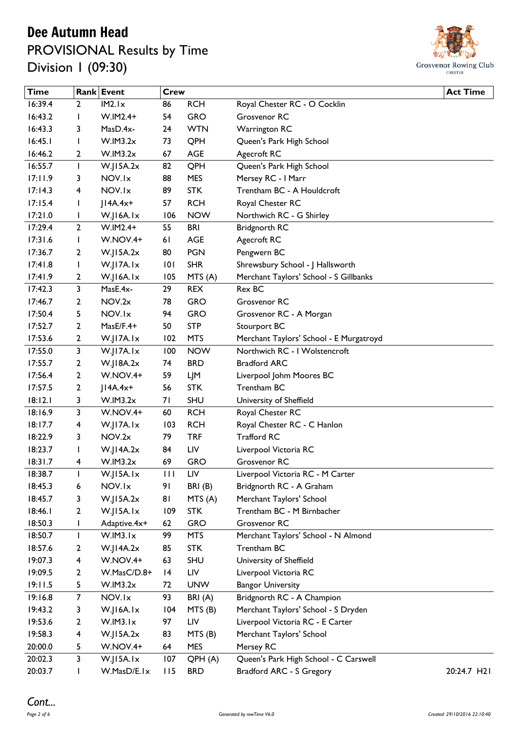### Dee Autumn Head PROVISIONAL Results by Time Division 1 (09:30)



| <b>Time</b> |                         | Rank Event      | <b>Crew</b>     |            |                                         | <b>Act Time</b> |
|-------------|-------------------------|-----------------|-----------------|------------|-----------------------------------------|-----------------|
| 16:39.4     | $\overline{2}$          | IM2.Ix          | 86              | <b>RCH</b> | Royal Chester RC - O Cocklin            |                 |
| 16:43.2     | J.                      | $W.IM2.4+$      | 54              | <b>GRO</b> | Grosvenor RC                            |                 |
| 16:43.3     | 3                       | MasD.4x-        | 24              | <b>WTN</b> | <b>Warrington RC</b>                    |                 |
| 16:45.1     | I                       | W.IM3.2x        | 73              | QPH        | Queen's Park High School                |                 |
| 16:46.2     | 2                       | W.IM3.2x        | 67              | <b>AGE</b> | Agecroft RC                             |                 |
| 16:55.7     | $\mathbf{I}$            | W.JI5A.2x       | 82              | QPH        | Queen's Park High School                |                 |
| 17:11.9     | 3                       | NOV.Ix          | 88              | <b>MES</b> | Mersey RC - I Marr                      |                 |
| 17:14.3     | 4                       | NOV.Ix          | 89              | <b>STK</b> | Trentham BC - A Houldcroft              |                 |
| 17:15.4     | I                       | $ IAA.4x+$      | 57              | <b>RCH</b> | Royal Chester RC                        |                 |
| 17:21.0     | $\mathsf{l}$            | W.JI6A.Ix       | 106             | <b>NOW</b> | Northwich RC - G Shirley                |                 |
| 17:29.4     | $\overline{2}$          | $W.IM2.4+$      | 55              | <b>BRI</b> | <b>Bridgnorth RC</b>                    |                 |
| 17:31.6     | I                       | W.NOV.4+        | 61              | AGE        | Agecroft RC                             |                 |
| 17:36.7     | 2                       | W.JI5A.2x       | 80              | <b>PGN</b> | Pengwern BC                             |                 |
| 17:41.8     | L                       | W.JI7A.Ix       | 101             | <b>SHR</b> | Shrewsbury School - J Hallsworth        |                 |
| 17:41.9     | 2                       | W.JI6A.Ix       | 105             | MTS(A)     | Merchant Taylors' School - S Gillbanks  |                 |
| 17:42.3     | $\overline{\mathbf{3}}$ | MasE.4x-        | 29              | <b>REX</b> | Rex BC                                  |                 |
| 17:46.7     | 2                       | NOV.2x          | 78              | <b>GRO</b> | Grosvenor RC                            |                 |
| 17:50.4     | 5                       | NOV.Ix          | 94              | <b>GRO</b> | Grosvenor RC - A Morgan                 |                 |
| 17:52.7     | 2                       | MasE/F.4+       | 50              | <b>STP</b> | Stourport BC                            |                 |
| 17:53.6     | 2                       | W.JI7A.Ix       | 102             | <b>MTS</b> | Merchant Taylors' School - E Murgatroyd |                 |
| 17:55.0     | 3                       | W.JI7A.Ix       | 100             | <b>NOW</b> | Northwich RC - I Wolstencroft           |                 |
| 17:55.7     | 2                       | W.I18A.2x       | 74              | <b>BRD</b> | <b>Bradford ARC</b>                     |                 |
| 17:56.4     | 2                       | W.NOV.4+        | 59              | LJM        | Liverpool Johm Moores BC                |                 |
| 17:57.5     | 2                       | $JIAA.4x+$      | 56              | <b>STK</b> | Trentham BC                             |                 |
| 18:12.1     | 3                       | W.IM3.2x        | 71              | <b>SHU</b> | University of Sheffield                 |                 |
| 18:16.9     | 3                       | W.NOV.4+        | 60              | <b>RCH</b> | Royal Chester RC                        |                 |
| 18:17.7     | 4                       | W.JI7A.Ix       | 103             | <b>RCH</b> | Royal Chester RC - C Hanlon             |                 |
| 18:22.9     | 3                       | NOV.2x          | 79              | <b>TRF</b> | <b>Trafford RC</b>                      |                 |
| 18:23.7     |                         | $W$ .JI4A.2 $x$ | 84              | LIV        | Liverpool Victoria RC                   |                 |
| 18:31.7     | 4                       | W.IM3.2x        | 69              | <b>GRO</b> | Grosvenor RC                            |                 |
| 18:38.7     |                         | W.JI5A.Ix       | $\mathbf{H}$    | LIV        | Liverpool Victoria RC - M Carter        |                 |
| 18:45.3     | 6                       | NOV.Ix          | 91              | BRI(B)     | Bridgnorth RC - A Graham                |                 |
| 18:45.7     | 3                       | W.JI5A.2x       | 81              | MTS(A)     | Merchant Taylors' School                |                 |
| 18:46.1     | 2                       | W.JI5A.Ix       | 109             | <b>STK</b> | Trentham BC - M Birnbacher              |                 |
| 18:50.3     | L                       | Adaptive.4x+    | 62              | <b>GRO</b> | Grosvenor RC                            |                 |
| 18:50.7     | $\mathbf{I}$            | W.IM3.Ix        | 99              | <b>MTS</b> | Merchant Taylors' School - N Almond     |                 |
| 18:57.6     | 2                       | W.I14A.2x       | 85              | <b>STK</b> | Trentham BC                             |                 |
| 19:07.3     | 4                       | W.NOV.4+        | 63              | <b>SHU</b> | University of Sheffield                 |                 |
| 19:09.5     | 2                       | W.MasC/D.8+     | $\overline{14}$ | LIV        | Liverpool Victoria RC                   |                 |
| 19:11.5     | 5                       | W.IM3.2x        | 72              | <b>UNW</b> | <b>Bangor University</b>                |                 |
| 19:16.8     | $\overline{7}$          | NOV.Ix          | 93              | BRI(A)     | Bridgnorth RC - A Champion              |                 |
| 19:43.2     | 3                       | W.JI6A.Ix       | 104             | MTS (B)    | Merchant Taylors' School - S Dryden     |                 |
| 19:53.6     | 2                       | W.IM3.Ix        | 97              | LIV        | Liverpool Victoria RC - E Carter        |                 |
| 19:58.3     | 4                       | W.JI5A.2x       | 83              | MTS (B)    | Merchant Taylors' School                |                 |
| 20:00.0     | 5                       | W.NOV.4+        | 64              | <b>MES</b> | Mersey RC                               |                 |
| 20:02.3     | 3                       | W.JI5A.Ix       | 107             | QPH (A)    | Queen's Park High School - C Carswell   |                 |
| 20:03.7     | L                       | W.MasD/E.Ix     | 115             | <b>BRD</b> | Bradford ARC - S Gregory                | 20:24.7 H21     |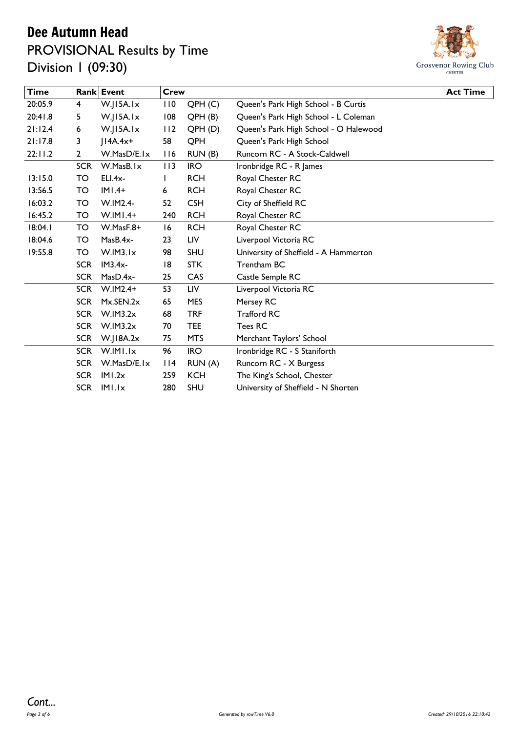### Dee Autumn Head PROVISIONAL Results by Time Division 1 (09:30)



| <b>Time</b> |              | Rank Event       | <b>Crew</b>   |                    |                                       | <b>Act Time</b> |
|-------------|--------------|------------------|---------------|--------------------|---------------------------------------|-----------------|
| 20:05.9     | 4            | W.JI5A.Ix        | 110           | QPH(C)             | Queen's Park High School - B Curtis   |                 |
| 20:41.8     | 5            | $W$ . $ 15A.1x $ | 108           | QPH(B)             | Queen's Park High School - L Coleman  |                 |
| 21:12.4     | 6            | W.JI5A.Ix        | 112           | QPH <sub>(D)</sub> | Queen's Park High School - O Halewood |                 |
| 21:17.8     | 3            | $ IAA.4x+$       | 58            | QPH                | Queen's Park High School              |                 |
| 22:11.2     | $\mathbf{2}$ | W.MasD/E.Ix      | 116           | RUN (B)            | Runcorn RC - A Stock-Caldwell         |                 |
|             | <b>SCR</b>   | W.MasB.Ix        | 113           | <b>IRO</b>         | Ironbridge RC - R James               |                 |
| 13:15.0     | TO           | ELI.4x-          | L             | <b>RCH</b>         | Royal Chester RC                      |                 |
| 13:56.5     | TO           | $IMI.4+$         | 6             | <b>RCH</b>         | Royal Chester RC                      |                 |
| 16:03.2     | TO           | W.IM2.4-         | 52            | <b>CSH</b>         | City of Sheffield RC                  |                 |
| 16:45.2     | TO           | $W.IMI.4+$       | 240           | <b>RCH</b>         | Royal Chester RC                      |                 |
| 18:04.1     | <b>TO</b>    | $W.MasF.8+$      | 16            | <b>RCH</b>         | Royal Chester RC                      |                 |
| 18:04.6     | TO           | MasB.4x-         | 23            | LIV                | Liverpool Victoria RC                 |                 |
| 19:55.8     | TO           | W.IM3.Ix         | 98            | <b>SHU</b>         | University of Sheffield - A Hammerton |                 |
|             | <b>SCR</b>   | $IM3.4x-$        | 18            | <b>STK</b>         | Trentham BC                           |                 |
|             | <b>SCR</b>   | MasD.4x-         | 25            | CAS                | Castle Semple RC                      |                 |
|             | <b>SCR</b>   | $W.IM2.4+$       | 53            | LIV                | Liverpool Victoria RC                 |                 |
|             | <b>SCR</b>   | $Mx$ . SEN. $2x$ | 65            | <b>MES</b>         | Mersey RC                             |                 |
|             | <b>SCR</b>   | W.IM3.2x         | 68            | <b>TRF</b>         | <b>Trafford RC</b>                    |                 |
|             | <b>SCR</b>   | W.IM3.2x         | 70            | <b>TEE</b>         | Tees RC                               |                 |
|             | <b>SCR</b>   | $W$ .JI8A.2 $x$  | 75            | <b>MTS</b>         | Merchant Taylors' School              |                 |
|             | <b>SCR</b>   | W.IMI.Ix         | 96            | <b>IRO</b>         | Ironbridge RC - S Staniforth          |                 |
|             | <b>SCR</b>   | W.MasD/E.Ix      | $ 114\rangle$ | RUN (A)            | Runcorn RC - X Burgess                |                 |
|             | <b>SCR</b>   | IMI.2x           | 259           | <b>KCH</b>         | The King's School, Chester            |                 |
|             |              | SCR IMI.Ix       | 280           | SHU                | University of Sheffield - N Shorten   |                 |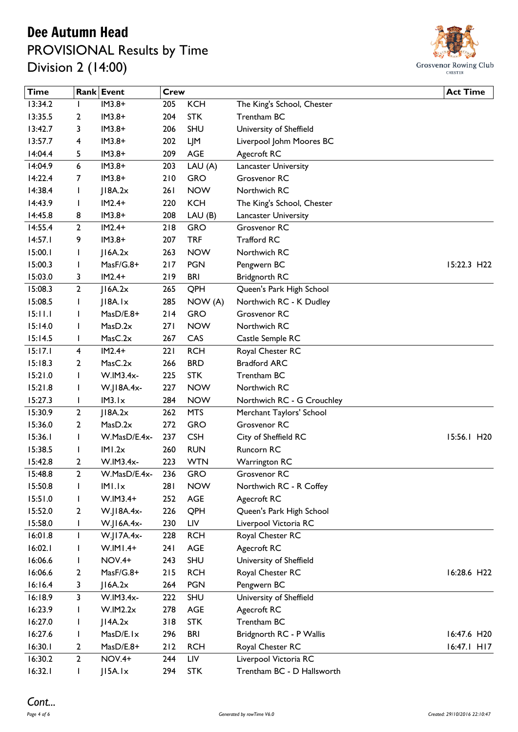# Dee Autumn Head

## PROVISIONAL Results by Time Division 2 (14:00)



| <b>Time</b> |                | Rank Event           | <b>Crew</b> |            |                            | <b>Act Time</b> |
|-------------|----------------|----------------------|-------------|------------|----------------------------|-----------------|
| 13:34.2     |                | $IM3.8+$             | 205         | <b>KCH</b> | The King's School, Chester |                 |
| 13:35.5     | 2              | $IM3.8+$             | 204         | <b>STK</b> | Trentham BC                |                 |
| 13:42.7     | 3              | $IM3.8+$             | 206         | SHU        | University of Sheffield    |                 |
| 13:57.7     | 4              | $IM3.8+$             | 202         | LJM        | Liverpool Johm Moores BC   |                 |
| 14:04.4     | 5              | $IM3.8+$             | 209         | <b>AGE</b> | Agecroft RC                |                 |
| 14:04.9     | 6              | $IM3.8+$             | 203         | LAU (A)    | Lancaster University       |                 |
| 14:22.4     | 7              | $IM3.8+$             | 210         | <b>GRO</b> | Grosvenor RC               |                 |
| 14:38.4     | J.             | J18A.2x              | 261         | <b>NOW</b> | Northwich RC               |                 |
| 14:43.9     | J.             | $IM2.4+$             | 220         | <b>KCH</b> | The King's School, Chester |                 |
| 14:45.8     | 8              | $IM3.8+$             | 208         | LAU(B)     | Lancaster University       |                 |
| 14:55.4     | $\overline{2}$ | $IM2.4+$             | 218         | <b>GRO</b> | Grosvenor RC               |                 |
| 14:57.1     | 9              | $IM3.8+$             | 207         | <b>TRF</b> | <b>Trafford RC</b>         |                 |
| 15:00.1     | J.             | $ $ 16A.2 $x$        | 263         | <b>NOW</b> | Northwich RC               |                 |
| 15:00.3     | ı              | MasF/G.8+            | 217         | <b>PGN</b> | Pengwern BC                | 15:22.3 H22     |
| 15:03.0     | 3              | $IM2.4+$             | 219         | <b>BRI</b> | <b>Bridgnorth RC</b>       |                 |
| 15:08.3     | $\mathbf{2}$   | 16A.2x               | 265         | QPH        | Queen's Park High School   |                 |
| 15:08.5     |                | $ $   8A.   $\times$ | 285         | NOW (A)    | Northwich RC - K Dudley    |                 |
| 15:11.1     | ı              | $MasD/E.8+$          | 214         | <b>GRO</b> | Grosvenor RC               |                 |
| 15:14.0     | <b>I</b>       | MasD.2x              | 271         | <b>NOW</b> | Northwich RC               |                 |
| 15:14.5     | J.             | MasC.2x              | 267         | CAS        | Castle Semple RC           |                 |
| 15:17.1     | 4              | $IM2.4+$             | 221         | <b>RCH</b> | Royal Chester RC           |                 |
| 15:18.3     | 2              | MasC.2x              | 266         | <b>BRD</b> | <b>Bradford ARC</b>        |                 |
| 15:21.0     | I              | W.IM3.4x-            | 225         | <b>STK</b> | Trentham BC                |                 |
| 15:21.8     | $\mathbf{I}$   | W.J18A.4x-           | 227         | <b>NOW</b> | Northwich RC               |                 |
| 15:27.3     | <b>I</b>       | IM3.Ix               | 284         | <b>NOW</b> | Northwich RC - G Crouchley |                 |
| 15:30.9     | $\overline{2}$ | 18A.2x               | 262         | <b>MTS</b> | Merchant Taylors' School   |                 |
| 15:36.0     | 2              | MasD.2x              | 272         | <b>GRO</b> | Grosvenor RC               |                 |
| 15:36.1     | I              | W.MasD/E.4x-         | 237         | <b>CSH</b> | City of Sheffield RC       | 15:56.1 H20     |
| 15:38.5     |                | IMI.2x               | 260         | <b>RUN</b> | Runcorn RC                 |                 |
| 15:42.8     | 2              | W.IM3.4x-            | 223         | <b>WTN</b> | <b>Warrington RC</b>       |                 |
| 15:48.8     | $\mathbf{2}$   | W.MasD/E.4x-         | 236         | <b>GRO</b> | Grosvenor RC               |                 |
| 15:50.8     | $\mathbf{I}$   | IMI.Ix               | 281         | <b>NOW</b> | Northwich RC - R Coffey    |                 |
| 15:51.0     | ı              | $W.IM3.4+$           | 252         | AGE        | Agecroft RC                |                 |
| 15:52.0     | 2              | W.J18A.4x-           | 226         | QPH        | Queen's Park High School   |                 |
| 15:58.0     | L              | W.J16A.4x-           | 230         | LIV        | Liverpool Victoria RC      |                 |
| 16:01.8     | $\mathbf{I}$   | W.J17A.4x-           | 228         | <b>RCH</b> | Royal Chester RC           |                 |
| 16:02.1     |                | $W.IM1.4+$           | 241         | AGE        | Agecroft RC                |                 |
| 16:06.6     |                | <b>NOV.4+</b>        | 243         | <b>SHU</b> | University of Sheffield    |                 |
| 16:06.6     | 2              | MasF/G.8+            | 215         | <b>RCH</b> | Royal Chester RC           | 16:28.6 H22     |
| 16:16.4     | 3              | 16A.2x               | 264         | <b>PGN</b> | Pengwern BC                |                 |
| 16:18.9     | 3              | W.IM3.4x-            | 222         | <b>SHU</b> | University of Sheffield    |                 |
| 16:23.9     |                | W.IM2.2x             | 278         | AGE        | Agecroft RC                |                 |
| 16:27.0     | ı              | JI4A.2x              | 318         | <b>STK</b> | Trentham BC                |                 |
| 16:27.6     | L              | MasD/E.lx            | 296         | <b>BRI</b> | Bridgnorth RC - P Wallis   | 16:47.6 H20     |
| 16:30.1     | 2              | MasD/E.8+            | $212$       | <b>RCH</b> | Royal Chester RC           | $16:47.1$ HI7   |
| 16:30.2     | $\overline{2}$ | <b>NOV.4+</b>        | 244         | LIV        | Liverpool Victoria RC      |                 |
| 16:32.1     | L              | J15A.1x              | 294         | <b>STK</b> | Trentham BC - D Hallsworth |                 |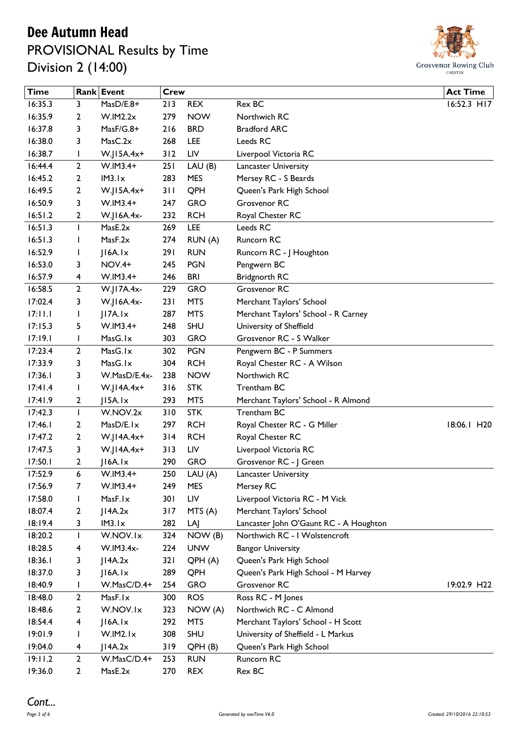### Dee Autumn Head PROVISIONAL Results by Time Division 2 (14:00)



| 16:35.3<br>Rex BC<br>16:52.3 H17<br>MasD/E.8+<br>213<br><b>REX</b><br>3<br><b>NOW</b><br>16:35.9<br>W.IM2.2x<br>279<br>Northwich RC<br>2<br>16:37.8<br>3<br>MasF/G.8+<br>216<br><b>BRD</b><br><b>Bradford ARC</b><br>MasC.2x<br>16:38.0<br>268<br>LEE<br>Leeds RC<br>3<br>16:38.7<br>$W.J15A.4x+$<br>312<br>LIV<br>Liverpool Victoria RC<br>I<br>$\mathbf{2}$<br>16:44.4<br>$W.IM3.4+$<br>LAU(B)<br>251<br>Lancaster University<br>16:45.2<br>IM3.1x<br>283<br><b>MES</b><br>Mersey RC - S Beards<br>2<br>16:49.5<br>$W.J15A.4x+$<br>311<br>QPH<br>2<br>Queen's Park High School<br><b>GRO</b><br>Grosvenor RC<br>16:50.9<br>3<br>$W.IM3.4+$<br>247<br>16:51.2<br>232<br><b>RCH</b><br>Royal Chester RC<br>2<br>W.J16A.4x-<br>16:51.3<br><b>LEE</b><br>I<br>MasE.2x<br>269<br>Leeds RC<br>MasF.2x<br>16:51.3<br>RUN (A)<br>Runcorn RC<br>274<br>I<br>16:52.9<br>291<br><b>RUN</b><br>$ $ 16A. $ x$<br>Runcorn RC - J Houghton<br>$\mathsf{l}$<br>16:53.0<br><b>NOV.4+</b><br><b>PGN</b><br>Pengwern BC<br>3<br>245<br>16:57.9<br>W.IM3.4+<br><b>BRI</b><br>246<br><b>Bridgnorth RC</b><br>4<br><b>GRO</b><br>Grosvenor RC<br>16:58.5<br>$\overline{2}$<br>W.J17A.4x-<br>229<br>17:02.4<br>231<br><b>MTS</b><br>3<br>W.J16A.4x-<br>Merchant Taylors' School<br><b>MTS</b><br>17:11.1<br>JI7A.Ix<br>287<br>Merchant Taylors' School - R Carney<br>L<br><b>SHU</b><br>17:15.3<br>$W.IM3.4+$<br>248<br>University of Sheffield<br>5<br>17:19.1<br>MasG.1x<br>303<br><b>GRO</b><br>Grosvenor RC - S Walker<br>I<br>MasG.1x<br>17:23.4<br>302<br><b>PGN</b><br>Pengwern BC - P Summers<br>$\overline{2}$<br>17:33.9<br><b>RCH</b><br>MasG.1x<br>304<br>Royal Chester RC - A Wilson<br>3<br>Northwich RC<br>17:36.1<br>W.MasD/E.4x-<br>238<br><b>NOW</b><br>3<br>17:41.4<br>316<br><b>STK</b><br>Trentham BC<br>$W$ .JI4A.4x+<br>L<br>293<br><b>MTS</b><br>17:41.9<br>2<br>J15A.1x<br>Merchant Taylors' School - R Almond<br><b>STK</b><br>Trentham BC<br>17:42.3<br>W.NOV.2x<br>310<br>$\mathbf{I}$<br><b>RCH</b><br>17:46.1<br>MasD/E.Ix<br>297<br>Royal Chester RC - G Miller<br>18:06.1 H20<br>2<br><b>RCH</b><br>17:47.2<br>$\overline{2}$<br>W.J14A.4x+<br>314<br>Royal Chester RC<br>17:47.5<br>W.J14A.4x+<br>313<br>LIV<br>Liverpool Victoria RC<br>3<br>17:50.1<br>$ $   6A. $ x$<br>290<br><b>GRO</b><br>2<br>Grosvenor RC - J Green<br>17:52.9<br>W.IM3.4+<br>250<br>6<br>LAU (A)<br>Lancaster University<br>17:56.9<br>$W.IM3.4+$<br>7<br>249<br><b>MES</b><br>Mersey RC<br>MasF.Ix<br>17:58.0<br>301<br>LIV<br>Liverpool Victoria RC - M Vick<br>$\mathbf{I}$<br>18:07.4<br>JI4A.2x<br>Merchant Taylors' School<br>2<br>317<br>MTS (A)<br>18:19.4<br>IM3.Ix<br>282<br>LAJ<br>Lancaster John O'Gaunt RC - A Houghton<br>3<br>NOW (B)<br>18:20.2<br>W.NOV.Ix<br>Northwich RC - I Wolstencroft<br>I<br>324<br>18:28.5<br>W.IM3.4x-<br><b>UNW</b><br><b>Bangor University</b><br>224<br>4<br>18:36.1<br>JI4A.2x<br>321<br>Queen's Park High School<br>3<br>QPH(A)<br>18:37.0<br>$ $ 16A. $ x$<br>289<br>QPH<br>Queen's Park High School - M Harvey<br>3<br>18:40.9<br>W.MasC/D.4+<br><b>GRO</b><br>Grosvenor RC<br>254<br>L<br>18:48.0<br><b>ROS</b><br>Ross RC - M Jones<br>$\overline{2}$<br>MasF.lx<br>300<br>18:48.6<br>W.NOV.Ix<br>323<br>NOW (A)<br>Northwich RC - C Almond<br>2<br>18:54.4<br>$ $ 16A. $ x$<br>292<br><b>MTS</b><br>4<br>Merchant Taylors' School - H Scott<br><b>SHU</b><br>19:01.9<br>W.IM2.Ix<br>308<br>University of Sheffield - L Markus<br>I<br>19:04.0<br>JI4A.2x<br>Queen's Park High School<br>4<br>319<br>QPH(B)<br>19:11.2<br>$\mathbf{2}$<br>Runcorn RC<br>W.MasC/D.4+<br>253<br><b>RUN</b><br>19:36.0<br>$\overline{2}$<br>MasE.2x<br><b>REX</b><br>Rex BC<br>270 | <b>Time</b> | Rank Event | <b>Crew</b> |  | <b>Act Time</b> |
|---------------------------------------------------------------------------------------------------------------------------------------------------------------------------------------------------------------------------------------------------------------------------------------------------------------------------------------------------------------------------------------------------------------------------------------------------------------------------------------------------------------------------------------------------------------------------------------------------------------------------------------------------------------------------------------------------------------------------------------------------------------------------------------------------------------------------------------------------------------------------------------------------------------------------------------------------------------------------------------------------------------------------------------------------------------------------------------------------------------------------------------------------------------------------------------------------------------------------------------------------------------------------------------------------------------------------------------------------------------------------------------------------------------------------------------------------------------------------------------------------------------------------------------------------------------------------------------------------------------------------------------------------------------------------------------------------------------------------------------------------------------------------------------------------------------------------------------------------------------------------------------------------------------------------------------------------------------------------------------------------------------------------------------------------------------------------------------------------------------------------------------------------------------------------------------------------------------------------------------------------------------------------------------------------------------------------------------------------------------------------------------------------------------------------------------------------------------------------------------------------------------------------------------------------------------------------------------------------------------------------------------------------------------------------------------------------------------------------------------------------------------------------------------------------------------------------------------------------------------------------------------------------------------------------------------------------------------------------------------------------------------------------------------------------------------------------------------------------------------------------------------------------------------------------------------------------------------------------------------------------------------------------------------------------------------------------------------------------------------------------------------------------------------------------------------------------------------------------------------------------------------------------------------------------------------------------------------------------------------------------------------------------------------------------------------------------------|-------------|------------|-------------|--|-----------------|
|                                                                                                                                                                                                                                                                                                                                                                                                                                                                                                                                                                                                                                                                                                                                                                                                                                                                                                                                                                                                                                                                                                                                                                                                                                                                                                                                                                                                                                                                                                                                                                                                                                                                                                                                                                                                                                                                                                                                                                                                                                                                                                                                                                                                                                                                                                                                                                                                                                                                                                                                                                                                                                                                                                                                                                                                                                                                                                                                                                                                                                                                                                                                                                                                                                                                                                                                                                                                                                                                                                                                                                                                                                                                                                         |             |            |             |  |                 |
|                                                                                                                                                                                                                                                                                                                                                                                                                                                                                                                                                                                                                                                                                                                                                                                                                                                                                                                                                                                                                                                                                                                                                                                                                                                                                                                                                                                                                                                                                                                                                                                                                                                                                                                                                                                                                                                                                                                                                                                                                                                                                                                                                                                                                                                                                                                                                                                                                                                                                                                                                                                                                                                                                                                                                                                                                                                                                                                                                                                                                                                                                                                                                                                                                                                                                                                                                                                                                                                                                                                                                                                                                                                                                                         |             |            |             |  |                 |
|                                                                                                                                                                                                                                                                                                                                                                                                                                                                                                                                                                                                                                                                                                                                                                                                                                                                                                                                                                                                                                                                                                                                                                                                                                                                                                                                                                                                                                                                                                                                                                                                                                                                                                                                                                                                                                                                                                                                                                                                                                                                                                                                                                                                                                                                                                                                                                                                                                                                                                                                                                                                                                                                                                                                                                                                                                                                                                                                                                                                                                                                                                                                                                                                                                                                                                                                                                                                                                                                                                                                                                                                                                                                                                         |             |            |             |  |                 |
|                                                                                                                                                                                                                                                                                                                                                                                                                                                                                                                                                                                                                                                                                                                                                                                                                                                                                                                                                                                                                                                                                                                                                                                                                                                                                                                                                                                                                                                                                                                                                                                                                                                                                                                                                                                                                                                                                                                                                                                                                                                                                                                                                                                                                                                                                                                                                                                                                                                                                                                                                                                                                                                                                                                                                                                                                                                                                                                                                                                                                                                                                                                                                                                                                                                                                                                                                                                                                                                                                                                                                                                                                                                                                                         |             |            |             |  |                 |
|                                                                                                                                                                                                                                                                                                                                                                                                                                                                                                                                                                                                                                                                                                                                                                                                                                                                                                                                                                                                                                                                                                                                                                                                                                                                                                                                                                                                                                                                                                                                                                                                                                                                                                                                                                                                                                                                                                                                                                                                                                                                                                                                                                                                                                                                                                                                                                                                                                                                                                                                                                                                                                                                                                                                                                                                                                                                                                                                                                                                                                                                                                                                                                                                                                                                                                                                                                                                                                                                                                                                                                                                                                                                                                         |             |            |             |  |                 |
|                                                                                                                                                                                                                                                                                                                                                                                                                                                                                                                                                                                                                                                                                                                                                                                                                                                                                                                                                                                                                                                                                                                                                                                                                                                                                                                                                                                                                                                                                                                                                                                                                                                                                                                                                                                                                                                                                                                                                                                                                                                                                                                                                                                                                                                                                                                                                                                                                                                                                                                                                                                                                                                                                                                                                                                                                                                                                                                                                                                                                                                                                                                                                                                                                                                                                                                                                                                                                                                                                                                                                                                                                                                                                                         |             |            |             |  |                 |
|                                                                                                                                                                                                                                                                                                                                                                                                                                                                                                                                                                                                                                                                                                                                                                                                                                                                                                                                                                                                                                                                                                                                                                                                                                                                                                                                                                                                                                                                                                                                                                                                                                                                                                                                                                                                                                                                                                                                                                                                                                                                                                                                                                                                                                                                                                                                                                                                                                                                                                                                                                                                                                                                                                                                                                                                                                                                                                                                                                                                                                                                                                                                                                                                                                                                                                                                                                                                                                                                                                                                                                                                                                                                                                         |             |            |             |  |                 |
|                                                                                                                                                                                                                                                                                                                                                                                                                                                                                                                                                                                                                                                                                                                                                                                                                                                                                                                                                                                                                                                                                                                                                                                                                                                                                                                                                                                                                                                                                                                                                                                                                                                                                                                                                                                                                                                                                                                                                                                                                                                                                                                                                                                                                                                                                                                                                                                                                                                                                                                                                                                                                                                                                                                                                                                                                                                                                                                                                                                                                                                                                                                                                                                                                                                                                                                                                                                                                                                                                                                                                                                                                                                                                                         |             |            |             |  |                 |
|                                                                                                                                                                                                                                                                                                                                                                                                                                                                                                                                                                                                                                                                                                                                                                                                                                                                                                                                                                                                                                                                                                                                                                                                                                                                                                                                                                                                                                                                                                                                                                                                                                                                                                                                                                                                                                                                                                                                                                                                                                                                                                                                                                                                                                                                                                                                                                                                                                                                                                                                                                                                                                                                                                                                                                                                                                                                                                                                                                                                                                                                                                                                                                                                                                                                                                                                                                                                                                                                                                                                                                                                                                                                                                         |             |            |             |  |                 |
|                                                                                                                                                                                                                                                                                                                                                                                                                                                                                                                                                                                                                                                                                                                                                                                                                                                                                                                                                                                                                                                                                                                                                                                                                                                                                                                                                                                                                                                                                                                                                                                                                                                                                                                                                                                                                                                                                                                                                                                                                                                                                                                                                                                                                                                                                                                                                                                                                                                                                                                                                                                                                                                                                                                                                                                                                                                                                                                                                                                                                                                                                                                                                                                                                                                                                                                                                                                                                                                                                                                                                                                                                                                                                                         |             |            |             |  |                 |
|                                                                                                                                                                                                                                                                                                                                                                                                                                                                                                                                                                                                                                                                                                                                                                                                                                                                                                                                                                                                                                                                                                                                                                                                                                                                                                                                                                                                                                                                                                                                                                                                                                                                                                                                                                                                                                                                                                                                                                                                                                                                                                                                                                                                                                                                                                                                                                                                                                                                                                                                                                                                                                                                                                                                                                                                                                                                                                                                                                                                                                                                                                                                                                                                                                                                                                                                                                                                                                                                                                                                                                                                                                                                                                         |             |            |             |  |                 |
|                                                                                                                                                                                                                                                                                                                                                                                                                                                                                                                                                                                                                                                                                                                                                                                                                                                                                                                                                                                                                                                                                                                                                                                                                                                                                                                                                                                                                                                                                                                                                                                                                                                                                                                                                                                                                                                                                                                                                                                                                                                                                                                                                                                                                                                                                                                                                                                                                                                                                                                                                                                                                                                                                                                                                                                                                                                                                                                                                                                                                                                                                                                                                                                                                                                                                                                                                                                                                                                                                                                                                                                                                                                                                                         |             |            |             |  |                 |
|                                                                                                                                                                                                                                                                                                                                                                                                                                                                                                                                                                                                                                                                                                                                                                                                                                                                                                                                                                                                                                                                                                                                                                                                                                                                                                                                                                                                                                                                                                                                                                                                                                                                                                                                                                                                                                                                                                                                                                                                                                                                                                                                                                                                                                                                                                                                                                                                                                                                                                                                                                                                                                                                                                                                                                                                                                                                                                                                                                                                                                                                                                                                                                                                                                                                                                                                                                                                                                                                                                                                                                                                                                                                                                         |             |            |             |  |                 |
|                                                                                                                                                                                                                                                                                                                                                                                                                                                                                                                                                                                                                                                                                                                                                                                                                                                                                                                                                                                                                                                                                                                                                                                                                                                                                                                                                                                                                                                                                                                                                                                                                                                                                                                                                                                                                                                                                                                                                                                                                                                                                                                                                                                                                                                                                                                                                                                                                                                                                                                                                                                                                                                                                                                                                                                                                                                                                                                                                                                                                                                                                                                                                                                                                                                                                                                                                                                                                                                                                                                                                                                                                                                                                                         |             |            |             |  |                 |
|                                                                                                                                                                                                                                                                                                                                                                                                                                                                                                                                                                                                                                                                                                                                                                                                                                                                                                                                                                                                                                                                                                                                                                                                                                                                                                                                                                                                                                                                                                                                                                                                                                                                                                                                                                                                                                                                                                                                                                                                                                                                                                                                                                                                                                                                                                                                                                                                                                                                                                                                                                                                                                                                                                                                                                                                                                                                                                                                                                                                                                                                                                                                                                                                                                                                                                                                                                                                                                                                                                                                                                                                                                                                                                         |             |            |             |  |                 |
|                                                                                                                                                                                                                                                                                                                                                                                                                                                                                                                                                                                                                                                                                                                                                                                                                                                                                                                                                                                                                                                                                                                                                                                                                                                                                                                                                                                                                                                                                                                                                                                                                                                                                                                                                                                                                                                                                                                                                                                                                                                                                                                                                                                                                                                                                                                                                                                                                                                                                                                                                                                                                                                                                                                                                                                                                                                                                                                                                                                                                                                                                                                                                                                                                                                                                                                                                                                                                                                                                                                                                                                                                                                                                                         |             |            |             |  |                 |
|                                                                                                                                                                                                                                                                                                                                                                                                                                                                                                                                                                                                                                                                                                                                                                                                                                                                                                                                                                                                                                                                                                                                                                                                                                                                                                                                                                                                                                                                                                                                                                                                                                                                                                                                                                                                                                                                                                                                                                                                                                                                                                                                                                                                                                                                                                                                                                                                                                                                                                                                                                                                                                                                                                                                                                                                                                                                                                                                                                                                                                                                                                                                                                                                                                                                                                                                                                                                                                                                                                                                                                                                                                                                                                         |             |            |             |  |                 |
|                                                                                                                                                                                                                                                                                                                                                                                                                                                                                                                                                                                                                                                                                                                                                                                                                                                                                                                                                                                                                                                                                                                                                                                                                                                                                                                                                                                                                                                                                                                                                                                                                                                                                                                                                                                                                                                                                                                                                                                                                                                                                                                                                                                                                                                                                                                                                                                                                                                                                                                                                                                                                                                                                                                                                                                                                                                                                                                                                                                                                                                                                                                                                                                                                                                                                                                                                                                                                                                                                                                                                                                                                                                                                                         |             |            |             |  |                 |
|                                                                                                                                                                                                                                                                                                                                                                                                                                                                                                                                                                                                                                                                                                                                                                                                                                                                                                                                                                                                                                                                                                                                                                                                                                                                                                                                                                                                                                                                                                                                                                                                                                                                                                                                                                                                                                                                                                                                                                                                                                                                                                                                                                                                                                                                                                                                                                                                                                                                                                                                                                                                                                                                                                                                                                                                                                                                                                                                                                                                                                                                                                                                                                                                                                                                                                                                                                                                                                                                                                                                                                                                                                                                                                         |             |            |             |  |                 |
|                                                                                                                                                                                                                                                                                                                                                                                                                                                                                                                                                                                                                                                                                                                                                                                                                                                                                                                                                                                                                                                                                                                                                                                                                                                                                                                                                                                                                                                                                                                                                                                                                                                                                                                                                                                                                                                                                                                                                                                                                                                                                                                                                                                                                                                                                                                                                                                                                                                                                                                                                                                                                                                                                                                                                                                                                                                                                                                                                                                                                                                                                                                                                                                                                                                                                                                                                                                                                                                                                                                                                                                                                                                                                                         |             |            |             |  |                 |
|                                                                                                                                                                                                                                                                                                                                                                                                                                                                                                                                                                                                                                                                                                                                                                                                                                                                                                                                                                                                                                                                                                                                                                                                                                                                                                                                                                                                                                                                                                                                                                                                                                                                                                                                                                                                                                                                                                                                                                                                                                                                                                                                                                                                                                                                                                                                                                                                                                                                                                                                                                                                                                                                                                                                                                                                                                                                                                                                                                                                                                                                                                                                                                                                                                                                                                                                                                                                                                                                                                                                                                                                                                                                                                         |             |            |             |  |                 |
|                                                                                                                                                                                                                                                                                                                                                                                                                                                                                                                                                                                                                                                                                                                                                                                                                                                                                                                                                                                                                                                                                                                                                                                                                                                                                                                                                                                                                                                                                                                                                                                                                                                                                                                                                                                                                                                                                                                                                                                                                                                                                                                                                                                                                                                                                                                                                                                                                                                                                                                                                                                                                                                                                                                                                                                                                                                                                                                                                                                                                                                                                                                                                                                                                                                                                                                                                                                                                                                                                                                                                                                                                                                                                                         |             |            |             |  |                 |
|                                                                                                                                                                                                                                                                                                                                                                                                                                                                                                                                                                                                                                                                                                                                                                                                                                                                                                                                                                                                                                                                                                                                                                                                                                                                                                                                                                                                                                                                                                                                                                                                                                                                                                                                                                                                                                                                                                                                                                                                                                                                                                                                                                                                                                                                                                                                                                                                                                                                                                                                                                                                                                                                                                                                                                                                                                                                                                                                                                                                                                                                                                                                                                                                                                                                                                                                                                                                                                                                                                                                                                                                                                                                                                         |             |            |             |  |                 |
|                                                                                                                                                                                                                                                                                                                                                                                                                                                                                                                                                                                                                                                                                                                                                                                                                                                                                                                                                                                                                                                                                                                                                                                                                                                                                                                                                                                                                                                                                                                                                                                                                                                                                                                                                                                                                                                                                                                                                                                                                                                                                                                                                                                                                                                                                                                                                                                                                                                                                                                                                                                                                                                                                                                                                                                                                                                                                                                                                                                                                                                                                                                                                                                                                                                                                                                                                                                                                                                                                                                                                                                                                                                                                                         |             |            |             |  |                 |
|                                                                                                                                                                                                                                                                                                                                                                                                                                                                                                                                                                                                                                                                                                                                                                                                                                                                                                                                                                                                                                                                                                                                                                                                                                                                                                                                                                                                                                                                                                                                                                                                                                                                                                                                                                                                                                                                                                                                                                                                                                                                                                                                                                                                                                                                                                                                                                                                                                                                                                                                                                                                                                                                                                                                                                                                                                                                                                                                                                                                                                                                                                                                                                                                                                                                                                                                                                                                                                                                                                                                                                                                                                                                                                         |             |            |             |  |                 |
|                                                                                                                                                                                                                                                                                                                                                                                                                                                                                                                                                                                                                                                                                                                                                                                                                                                                                                                                                                                                                                                                                                                                                                                                                                                                                                                                                                                                                                                                                                                                                                                                                                                                                                                                                                                                                                                                                                                                                                                                                                                                                                                                                                                                                                                                                                                                                                                                                                                                                                                                                                                                                                                                                                                                                                                                                                                                                                                                                                                                                                                                                                                                                                                                                                                                                                                                                                                                                                                                                                                                                                                                                                                                                                         |             |            |             |  |                 |
|                                                                                                                                                                                                                                                                                                                                                                                                                                                                                                                                                                                                                                                                                                                                                                                                                                                                                                                                                                                                                                                                                                                                                                                                                                                                                                                                                                                                                                                                                                                                                                                                                                                                                                                                                                                                                                                                                                                                                                                                                                                                                                                                                                                                                                                                                                                                                                                                                                                                                                                                                                                                                                                                                                                                                                                                                                                                                                                                                                                                                                                                                                                                                                                                                                                                                                                                                                                                                                                                                                                                                                                                                                                                                                         |             |            |             |  |                 |
|                                                                                                                                                                                                                                                                                                                                                                                                                                                                                                                                                                                                                                                                                                                                                                                                                                                                                                                                                                                                                                                                                                                                                                                                                                                                                                                                                                                                                                                                                                                                                                                                                                                                                                                                                                                                                                                                                                                                                                                                                                                                                                                                                                                                                                                                                                                                                                                                                                                                                                                                                                                                                                                                                                                                                                                                                                                                                                                                                                                                                                                                                                                                                                                                                                                                                                                                                                                                                                                                                                                                                                                                                                                                                                         |             |            |             |  |                 |
|                                                                                                                                                                                                                                                                                                                                                                                                                                                                                                                                                                                                                                                                                                                                                                                                                                                                                                                                                                                                                                                                                                                                                                                                                                                                                                                                                                                                                                                                                                                                                                                                                                                                                                                                                                                                                                                                                                                                                                                                                                                                                                                                                                                                                                                                                                                                                                                                                                                                                                                                                                                                                                                                                                                                                                                                                                                                                                                                                                                                                                                                                                                                                                                                                                                                                                                                                                                                                                                                                                                                                                                                                                                                                                         |             |            |             |  |                 |
|                                                                                                                                                                                                                                                                                                                                                                                                                                                                                                                                                                                                                                                                                                                                                                                                                                                                                                                                                                                                                                                                                                                                                                                                                                                                                                                                                                                                                                                                                                                                                                                                                                                                                                                                                                                                                                                                                                                                                                                                                                                                                                                                                                                                                                                                                                                                                                                                                                                                                                                                                                                                                                                                                                                                                                                                                                                                                                                                                                                                                                                                                                                                                                                                                                                                                                                                                                                                                                                                                                                                                                                                                                                                                                         |             |            |             |  |                 |
|                                                                                                                                                                                                                                                                                                                                                                                                                                                                                                                                                                                                                                                                                                                                                                                                                                                                                                                                                                                                                                                                                                                                                                                                                                                                                                                                                                                                                                                                                                                                                                                                                                                                                                                                                                                                                                                                                                                                                                                                                                                                                                                                                                                                                                                                                                                                                                                                                                                                                                                                                                                                                                                                                                                                                                                                                                                                                                                                                                                                                                                                                                                                                                                                                                                                                                                                                                                                                                                                                                                                                                                                                                                                                                         |             |            |             |  |                 |
|                                                                                                                                                                                                                                                                                                                                                                                                                                                                                                                                                                                                                                                                                                                                                                                                                                                                                                                                                                                                                                                                                                                                                                                                                                                                                                                                                                                                                                                                                                                                                                                                                                                                                                                                                                                                                                                                                                                                                                                                                                                                                                                                                                                                                                                                                                                                                                                                                                                                                                                                                                                                                                                                                                                                                                                                                                                                                                                                                                                                                                                                                                                                                                                                                                                                                                                                                                                                                                                                                                                                                                                                                                                                                                         |             |            |             |  |                 |
|                                                                                                                                                                                                                                                                                                                                                                                                                                                                                                                                                                                                                                                                                                                                                                                                                                                                                                                                                                                                                                                                                                                                                                                                                                                                                                                                                                                                                                                                                                                                                                                                                                                                                                                                                                                                                                                                                                                                                                                                                                                                                                                                                                                                                                                                                                                                                                                                                                                                                                                                                                                                                                                                                                                                                                                                                                                                                                                                                                                                                                                                                                                                                                                                                                                                                                                                                                                                                                                                                                                                                                                                                                                                                                         |             |            |             |  |                 |
|                                                                                                                                                                                                                                                                                                                                                                                                                                                                                                                                                                                                                                                                                                                                                                                                                                                                                                                                                                                                                                                                                                                                                                                                                                                                                                                                                                                                                                                                                                                                                                                                                                                                                                                                                                                                                                                                                                                                                                                                                                                                                                                                                                                                                                                                                                                                                                                                                                                                                                                                                                                                                                                                                                                                                                                                                                                                                                                                                                                                                                                                                                                                                                                                                                                                                                                                                                                                                                                                                                                                                                                                                                                                                                         |             |            |             |  |                 |
|                                                                                                                                                                                                                                                                                                                                                                                                                                                                                                                                                                                                                                                                                                                                                                                                                                                                                                                                                                                                                                                                                                                                                                                                                                                                                                                                                                                                                                                                                                                                                                                                                                                                                                                                                                                                                                                                                                                                                                                                                                                                                                                                                                                                                                                                                                                                                                                                                                                                                                                                                                                                                                                                                                                                                                                                                                                                                                                                                                                                                                                                                                                                                                                                                                                                                                                                                                                                                                                                                                                                                                                                                                                                                                         |             |            |             |  |                 |
|                                                                                                                                                                                                                                                                                                                                                                                                                                                                                                                                                                                                                                                                                                                                                                                                                                                                                                                                                                                                                                                                                                                                                                                                                                                                                                                                                                                                                                                                                                                                                                                                                                                                                                                                                                                                                                                                                                                                                                                                                                                                                                                                                                                                                                                                                                                                                                                                                                                                                                                                                                                                                                                                                                                                                                                                                                                                                                                                                                                                                                                                                                                                                                                                                                                                                                                                                                                                                                                                                                                                                                                                                                                                                                         |             |            |             |  |                 |
|                                                                                                                                                                                                                                                                                                                                                                                                                                                                                                                                                                                                                                                                                                                                                                                                                                                                                                                                                                                                                                                                                                                                                                                                                                                                                                                                                                                                                                                                                                                                                                                                                                                                                                                                                                                                                                                                                                                                                                                                                                                                                                                                                                                                                                                                                                                                                                                                                                                                                                                                                                                                                                                                                                                                                                                                                                                                                                                                                                                                                                                                                                                                                                                                                                                                                                                                                                                                                                                                                                                                                                                                                                                                                                         |             |            |             |  |                 |
|                                                                                                                                                                                                                                                                                                                                                                                                                                                                                                                                                                                                                                                                                                                                                                                                                                                                                                                                                                                                                                                                                                                                                                                                                                                                                                                                                                                                                                                                                                                                                                                                                                                                                                                                                                                                                                                                                                                                                                                                                                                                                                                                                                                                                                                                                                                                                                                                                                                                                                                                                                                                                                                                                                                                                                                                                                                                                                                                                                                                                                                                                                                                                                                                                                                                                                                                                                                                                                                                                                                                                                                                                                                                                                         |             |            |             |  |                 |
|                                                                                                                                                                                                                                                                                                                                                                                                                                                                                                                                                                                                                                                                                                                                                                                                                                                                                                                                                                                                                                                                                                                                                                                                                                                                                                                                                                                                                                                                                                                                                                                                                                                                                                                                                                                                                                                                                                                                                                                                                                                                                                                                                                                                                                                                                                                                                                                                                                                                                                                                                                                                                                                                                                                                                                                                                                                                                                                                                                                                                                                                                                                                                                                                                                                                                                                                                                                                                                                                                                                                                                                                                                                                                                         |             |            |             |  |                 |
|                                                                                                                                                                                                                                                                                                                                                                                                                                                                                                                                                                                                                                                                                                                                                                                                                                                                                                                                                                                                                                                                                                                                                                                                                                                                                                                                                                                                                                                                                                                                                                                                                                                                                                                                                                                                                                                                                                                                                                                                                                                                                                                                                                                                                                                                                                                                                                                                                                                                                                                                                                                                                                                                                                                                                                                                                                                                                                                                                                                                                                                                                                                                                                                                                                                                                                                                                                                                                                                                                                                                                                                                                                                                                                         |             |            |             |  | 19:02.9 H22     |
|                                                                                                                                                                                                                                                                                                                                                                                                                                                                                                                                                                                                                                                                                                                                                                                                                                                                                                                                                                                                                                                                                                                                                                                                                                                                                                                                                                                                                                                                                                                                                                                                                                                                                                                                                                                                                                                                                                                                                                                                                                                                                                                                                                                                                                                                                                                                                                                                                                                                                                                                                                                                                                                                                                                                                                                                                                                                                                                                                                                                                                                                                                                                                                                                                                                                                                                                                                                                                                                                                                                                                                                                                                                                                                         |             |            |             |  |                 |
|                                                                                                                                                                                                                                                                                                                                                                                                                                                                                                                                                                                                                                                                                                                                                                                                                                                                                                                                                                                                                                                                                                                                                                                                                                                                                                                                                                                                                                                                                                                                                                                                                                                                                                                                                                                                                                                                                                                                                                                                                                                                                                                                                                                                                                                                                                                                                                                                                                                                                                                                                                                                                                                                                                                                                                                                                                                                                                                                                                                                                                                                                                                                                                                                                                                                                                                                                                                                                                                                                                                                                                                                                                                                                                         |             |            |             |  |                 |
|                                                                                                                                                                                                                                                                                                                                                                                                                                                                                                                                                                                                                                                                                                                                                                                                                                                                                                                                                                                                                                                                                                                                                                                                                                                                                                                                                                                                                                                                                                                                                                                                                                                                                                                                                                                                                                                                                                                                                                                                                                                                                                                                                                                                                                                                                                                                                                                                                                                                                                                                                                                                                                                                                                                                                                                                                                                                                                                                                                                                                                                                                                                                                                                                                                                                                                                                                                                                                                                                                                                                                                                                                                                                                                         |             |            |             |  |                 |
|                                                                                                                                                                                                                                                                                                                                                                                                                                                                                                                                                                                                                                                                                                                                                                                                                                                                                                                                                                                                                                                                                                                                                                                                                                                                                                                                                                                                                                                                                                                                                                                                                                                                                                                                                                                                                                                                                                                                                                                                                                                                                                                                                                                                                                                                                                                                                                                                                                                                                                                                                                                                                                                                                                                                                                                                                                                                                                                                                                                                                                                                                                                                                                                                                                                                                                                                                                                                                                                                                                                                                                                                                                                                                                         |             |            |             |  |                 |
|                                                                                                                                                                                                                                                                                                                                                                                                                                                                                                                                                                                                                                                                                                                                                                                                                                                                                                                                                                                                                                                                                                                                                                                                                                                                                                                                                                                                                                                                                                                                                                                                                                                                                                                                                                                                                                                                                                                                                                                                                                                                                                                                                                                                                                                                                                                                                                                                                                                                                                                                                                                                                                                                                                                                                                                                                                                                                                                                                                                                                                                                                                                                                                                                                                                                                                                                                                                                                                                                                                                                                                                                                                                                                                         |             |            |             |  |                 |
|                                                                                                                                                                                                                                                                                                                                                                                                                                                                                                                                                                                                                                                                                                                                                                                                                                                                                                                                                                                                                                                                                                                                                                                                                                                                                                                                                                                                                                                                                                                                                                                                                                                                                                                                                                                                                                                                                                                                                                                                                                                                                                                                                                                                                                                                                                                                                                                                                                                                                                                                                                                                                                                                                                                                                                                                                                                                                                                                                                                                                                                                                                                                                                                                                                                                                                                                                                                                                                                                                                                                                                                                                                                                                                         |             |            |             |  |                 |
|                                                                                                                                                                                                                                                                                                                                                                                                                                                                                                                                                                                                                                                                                                                                                                                                                                                                                                                                                                                                                                                                                                                                                                                                                                                                                                                                                                                                                                                                                                                                                                                                                                                                                                                                                                                                                                                                                                                                                                                                                                                                                                                                                                                                                                                                                                                                                                                                                                                                                                                                                                                                                                                                                                                                                                                                                                                                                                                                                                                                                                                                                                                                                                                                                                                                                                                                                                                                                                                                                                                                                                                                                                                                                                         |             |            |             |  |                 |